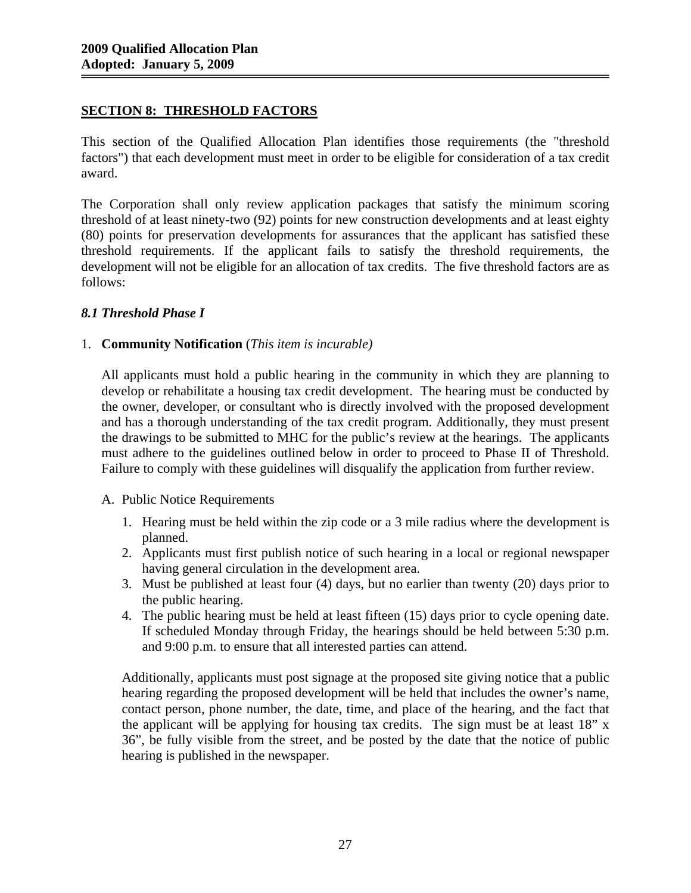## **SECTION 8: THRESHOLD FACTORS**

This section of the Qualified Allocation Plan identifies those requirements (the "threshold factors") that each development must meet in order to be eligible for consideration of a tax credit award.

The Corporation shall only review application packages that satisfy the minimum scoring threshold of at least ninety-two (92) points for new construction developments and at least eighty (80) points for preservation developments for assurances that the applicant has satisfied these threshold requirements. If the applicant fails to satisfy the threshold requirements, the development will not be eligible for an allocation of tax credits. The five threshold factors are as follows:

## *8.1 Threshold Phase I*

### 1. **Community Notification** (*This item is incurable)*

All applicants must hold a public hearing in the community in which they are planning to develop or rehabilitate a housing tax credit development. The hearing must be conducted by the owner, developer, or consultant who is directly involved with the proposed development and has a thorough understanding of the tax credit program. Additionally, they must present the drawings to be submitted to MHC for the public's review at the hearings. The applicants must adhere to the guidelines outlined below in order to proceed to Phase II of Threshold. Failure to comply with these guidelines will disqualify the application from further review.

#### A. Public Notice Requirements

- 1. Hearing must be held within the zip code or a 3 mile radius where the development is planned.
- 2. Applicants must first publish notice of such hearing in a local or regional newspaper having general circulation in the development area.
- 3. Must be published at least four (4) days, but no earlier than twenty (20) days prior to the public hearing.
- 4. The public hearing must be held at least fifteen (15) days prior to cycle opening date. If scheduled Monday through Friday, the hearings should be held between 5:30 p.m. and 9:00 p.m. to ensure that all interested parties can attend.

Additionally, applicants must post signage at the proposed site giving notice that a public hearing regarding the proposed development will be held that includes the owner's name, contact person, phone number, the date, time, and place of the hearing, and the fact that the applicant will be applying for housing tax credits. The sign must be at least 18" x 36", be fully visible from the street, and be posted by the date that the notice of public hearing is published in the newspaper.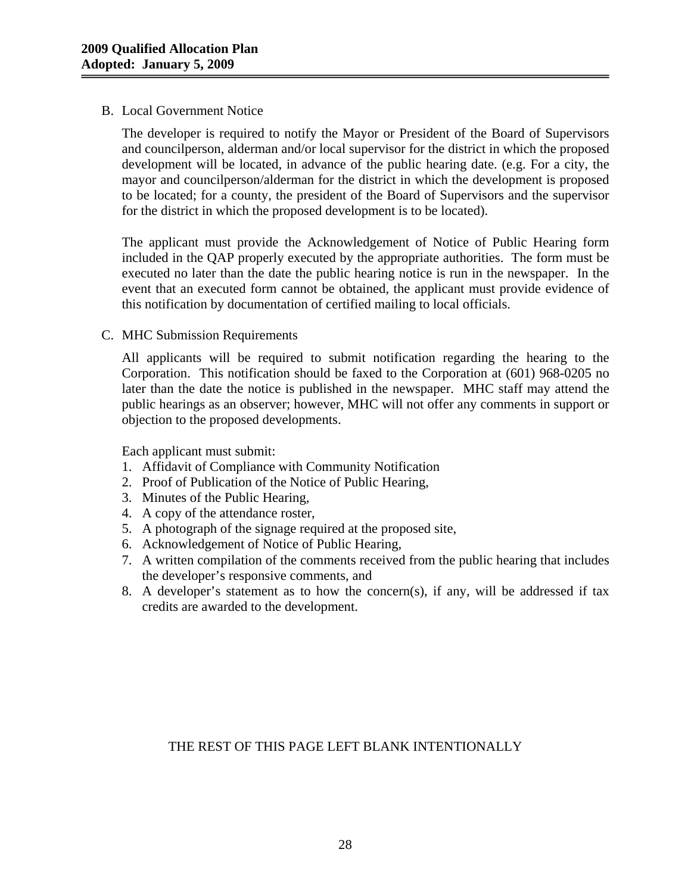### B. Local Government Notice

The developer is required to notify the Mayor or President of the Board of Supervisors and councilperson, alderman and/or local supervisor for the district in which the proposed development will be located, in advance of the public hearing date. (e.g. For a city, the mayor and councilperson/alderman for the district in which the development is proposed to be located; for a county, the president of the Board of Supervisors and the supervisor for the district in which the proposed development is to be located).

The applicant must provide the Acknowledgement of Notice of Public Hearing form included in the QAP properly executed by the appropriate authorities. The form must be executed no later than the date the public hearing notice is run in the newspaper. In the event that an executed form cannot be obtained, the applicant must provide evidence of this notification by documentation of certified mailing to local officials.

### C. MHC Submission Requirements

All applicants will be required to submit notification regarding the hearing to the Corporation. This notification should be faxed to the Corporation at (601) 968-0205 no later than the date the notice is published in the newspaper. MHC staff may attend the public hearings as an observer; however, MHC will not offer any comments in support or objection to the proposed developments.

Each applicant must submit:

- 1. Affidavit of Compliance with Community Notification
- 2. Proof of Publication of the Notice of Public Hearing,
- 3. Minutes of the Public Hearing,
- 4. A copy of the attendance roster,
- 5. A photograph of the signage required at the proposed site,
- 6. Acknowledgement of Notice of Public Hearing,
- 7. A written compilation of the comments received from the public hearing that includes the developer's responsive comments, and
- 8. A developer's statement as to how the concern(s), if any, will be addressed if tax credits are awarded to the development.

# THE REST OF THIS PAGE LEFT BLANK INTENTIONALLY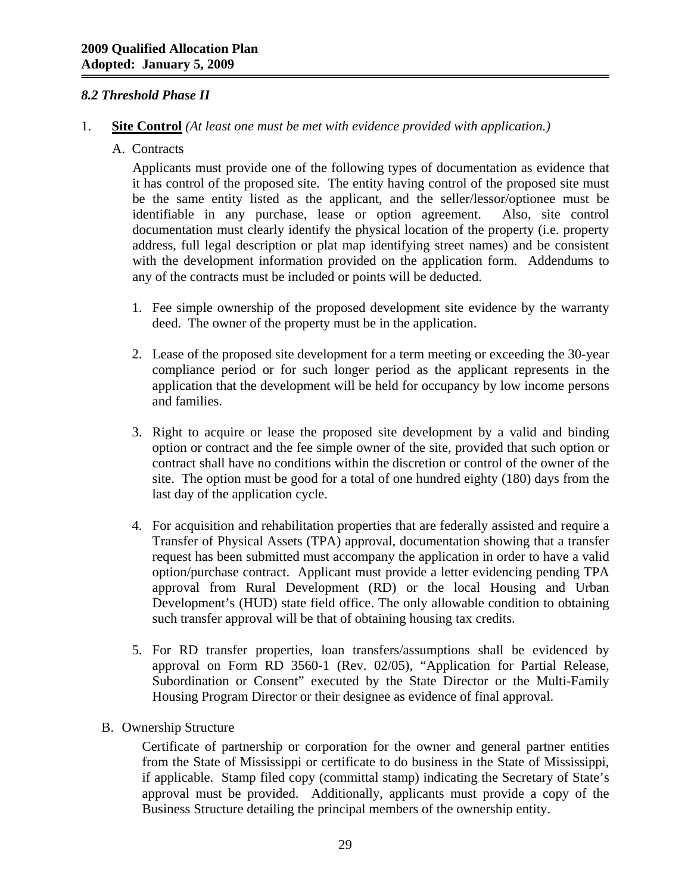## *8.2 Threshold Phase II*

#### 1. **Site Control** *(At least one must be met with evidence provided with application.)*

A. Contracts

Applicants must provide one of the following types of documentation as evidence that it has control of the proposed site. The entity having control of the proposed site must be the same entity listed as the applicant, and the seller/lessor/optionee must be identifiable in any purchase, lease or option agreement. Also, site control documentation must clearly identify the physical location of the property (i.e. property address, full legal description or plat map identifying street names) and be consistent with the development information provided on the application form. Addendums to any of the contracts must be included or points will be deducted.

- 1. Fee simple ownership of the proposed development site evidence by the warranty deed. The owner of the property must be in the application.
- 2. Lease of the proposed site development for a term meeting or exceeding the 30-year compliance period or for such longer period as the applicant represents in the application that the development will be held for occupancy by low income persons and families.
- 3. Right to acquire or lease the proposed site development by a valid and binding option or contract and the fee simple owner of the site, provided that such option or contract shall have no conditions within the discretion or control of the owner of the site. The option must be good for a total of one hundred eighty (180) days from the last day of the application cycle.
- 4. For acquisition and rehabilitation properties that are federally assisted and require a Transfer of Physical Assets (TPA) approval, documentation showing that a transfer request has been submitted must accompany the application in order to have a valid option/purchase contract. Applicant must provide a letter evidencing pending TPA approval from Rural Development (RD) or the local Housing and Urban Development's (HUD) state field office. The only allowable condition to obtaining such transfer approval will be that of obtaining housing tax credits.
- 5. For RD transfer properties, loan transfers/assumptions shall be evidenced by approval on Form RD 3560-1 (Rev. 02/05), "Application for Partial Release, Subordination or Consent" executed by the State Director or the Multi-Family Housing Program Director or their designee as evidence of final approval.
- B. Ownership Structure

Certificate of partnership or corporation for the owner and general partner entities from the State of Mississippi or certificate to do business in the State of Mississippi, if applicable. Stamp filed copy (committal stamp) indicating the Secretary of State's approval must be provided. Additionally, applicants must provide a copy of the Business Structure detailing the principal members of the ownership entity.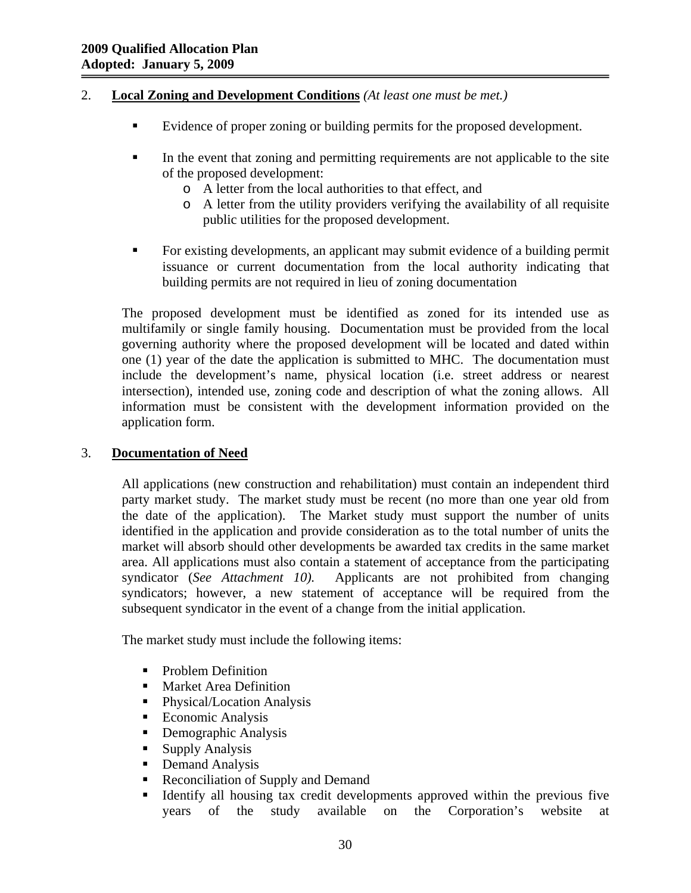### 2. **Local Zoning and Development Conditions** *(At least one must be met.)*

- Evidence of proper zoning or building permits for the proposed development.
- In the event that zoning and permitting requirements are not applicable to the site of the proposed development:
	- o A letter from the local authorities to that effect, and
	- o A letter from the utility providers verifying the availability of all requisite public utilities for the proposed development.
- For existing developments, an applicant may submit evidence of a building permit issuance or current documentation from the local authority indicating that building permits are not required in lieu of zoning documentation

The proposed development must be identified as zoned for its intended use as multifamily or single family housing. Documentation must be provided from the local governing authority where the proposed development will be located and dated within one (1) year of the date the application is submitted to MHC. The documentation must include the development's name, physical location (i.e. street address or nearest intersection), intended use, zoning code and description of what the zoning allows. All information must be consistent with the development information provided on the application form.

### 3. **Documentation of Need**

All applications (new construction and rehabilitation) must contain an independent third party market study. The market study must be recent (no more than one year old from the date of the application). The Market study must support the number of units identified in the application and provide consideration as to the total number of units the market will absorb should other developments be awarded tax credits in the same market area. All applications must also contain a statement of acceptance from the participating syndicator (*See Attachment 10).* Applicants are not prohibited from changing syndicators; however, a new statement of acceptance will be required from the subsequent syndicator in the event of a change from the initial application.

The market study must include the following items:

- Problem Definition
- **Market Area Definition**
- Physical/Location Analysis
- Economic Analysis
- Demographic Analysis
- Supply Analysis
- Demand Analysis
- Reconciliation of Supply and Demand
- Identify all housing tax credit developments approved within the previous five years of the study available on the Corporation's website at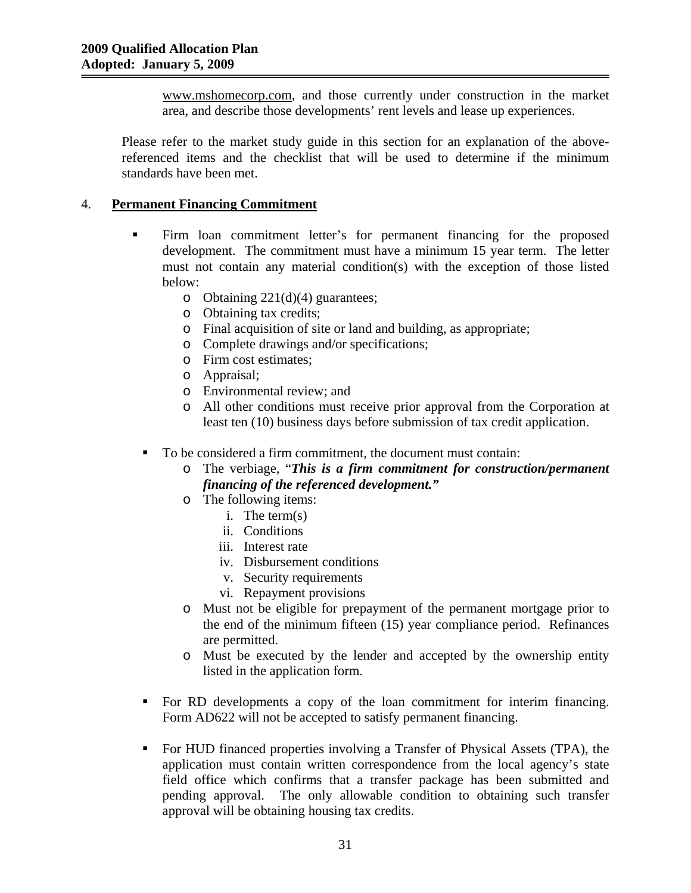www.mshomecorp.com, and those currently under construction in the market area, and describe those developments' rent levels and lease up experiences.

Please refer to the market study guide in this section for an explanation of the abovereferenced items and the checklist that will be used to determine if the minimum standards have been met.

### 4. **Permanent Financing Commitment**

- Firm loan commitment letter's for permanent financing for the proposed development. The commitment must have a minimum 15 year term. The letter must not contain any material condition(s) with the exception of those listed below:
	- o Obtaining 221(d)(4) guarantees;
	- o Obtaining tax credits;
	- o Final acquisition of site or land and building, as appropriate;
	- o Complete drawings and/or specifications;
	- o Firm cost estimates;
	- o Appraisal;
	- o Environmental review; and
	- o All other conditions must receive prior approval from the Corporation at least ten (10) business days before submission of tax credit application.
	- To be considered a firm commitment, the document must contain:
		- o The verbiage, "*This is a firm commitment for construction/permanent financing of the referenced development."*
		- o The following items:
			- i. The term(s)
			- ii. Conditions
			- iii. Interest rate
			- iv. Disbursement conditions
			- v. Security requirements
			- vi. Repayment provisions
		- o Must not be eligible for prepayment of the permanent mortgage prior to the end of the minimum fifteen (15) year compliance period. Refinances are permitted.
		- o Must be executed by the lender and accepted by the ownership entity listed in the application form.
	- For RD developments a copy of the loan commitment for interim financing. Form AD622 will not be accepted to satisfy permanent financing.
	- For HUD financed properties involving a Transfer of Physical Assets (TPA), the application must contain written correspondence from the local agency's state field office which confirms that a transfer package has been submitted and pending approval. The only allowable condition to obtaining such transfer approval will be obtaining housing tax credits.